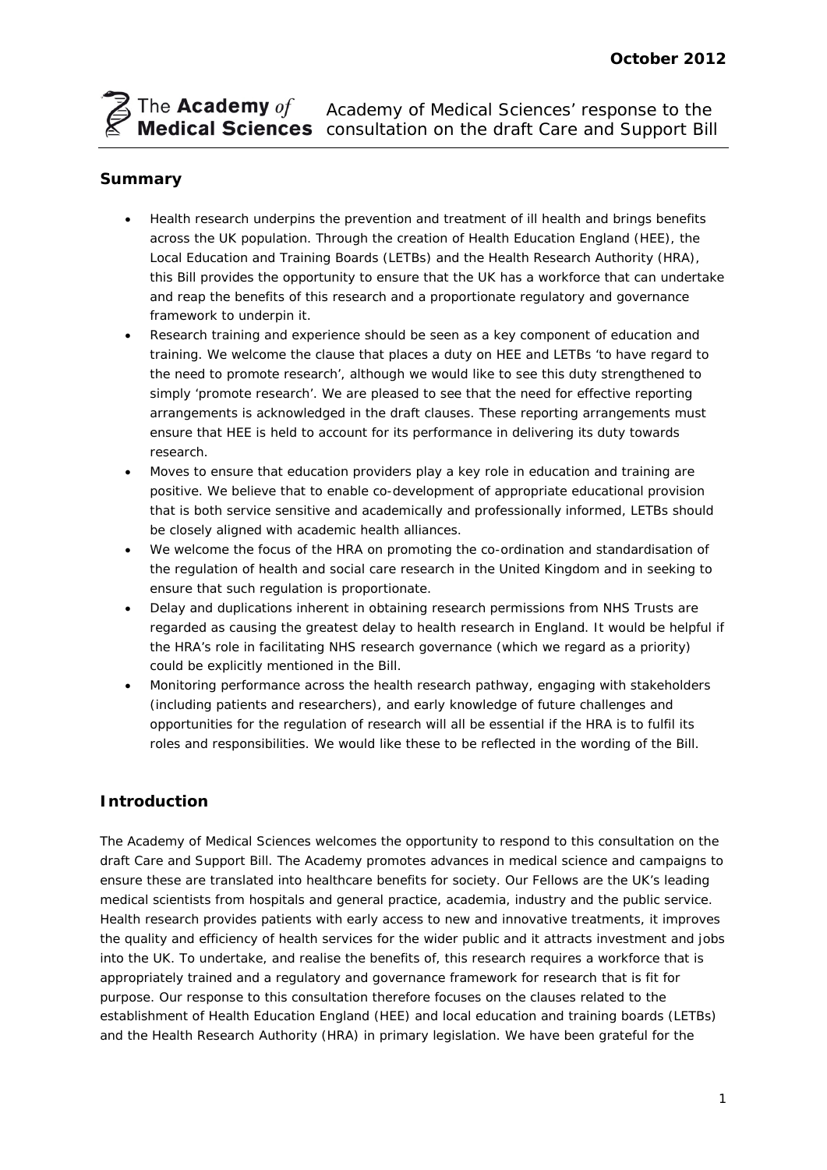# Academy of Medical Sciences' response to the consultation on the draft Care and Support Bill

# **Summary**

- Health research underpins the prevention and treatment of ill health and brings benefits across the UK population. Through the creation of Health Education England (HEE), the Local Education and Training Boards (LETBs) and the Health Research Authority (HRA), this Bill provides the opportunity to ensure that the UK has a workforce that can undertake and reap the benefits of this research and a proportionate regulatory and governance framework to underpin it.
- Research training and experience should be seen as a key component of education and training. We welcome the clause that places a duty on HEE and LETBs 'to have regard to the need to promote research', although we would like to see this duty strengthened to simply 'promote research'. We are pleased to see that the need for effective reporting arrangements is acknowledged in the draft clauses. These reporting arrangements must ensure that HEE is held to account for its performance in delivering its duty towards research.
- Moves to ensure that education providers play a key role in education and training are positive. We believe that to enable co-development of appropriate educational provision that is both service sensitive and academically and professionally informed, LETBs should be closely aligned with academic health alliances.
- We welcome the focus of the HRA on promoting the co-ordination and standardisation of the regulation of health and social care research in the United Kingdom and in seeking to ensure that such regulation is proportionate.
- Delay and duplications inherent in obtaining research permissions from NHS Trusts are regarded as causing the greatest delay to health research in England. It would be helpful if the HRA's role in facilitating NHS research governance (which we regard as a priority) could be explicitly mentioned in the Bill.
- Monitoring performance across the health research pathway, engaging with stakeholders (including patients and researchers), and early knowledge of future challenges and opportunities for the regulation of research will all be essential if the HRA is to fulfil its roles and responsibilities. We would like these to be reflected in the wording of the Bill.

# **Introduction**

The Academy of Medical Sciences welcomes the opportunity to respond to this consultation on the draft Care and Support Bill. The Academy promotes advances in medical science and campaigns to ensure these are translated into healthcare benefits for society. Our Fellows are the UK's leading medical scientists from hospitals and general practice, academia, industry and the public service. Health research provides patients with early access to new and innovative treatments, it improves the quality and efficiency of health services for the wider public and it attracts investment and jobs into the UK. To undertake, and realise the benefits of, this research requires a workforce that is appropriately trained and a regulatory and governance framework for research that is fit for purpose. Our response to this consultation therefore focuses on the clauses related to the establishment of Health Education England (HEE) and local education and training boards (LETBs) and the Health Research Authority (HRA) in primary legislation. We have been grateful for the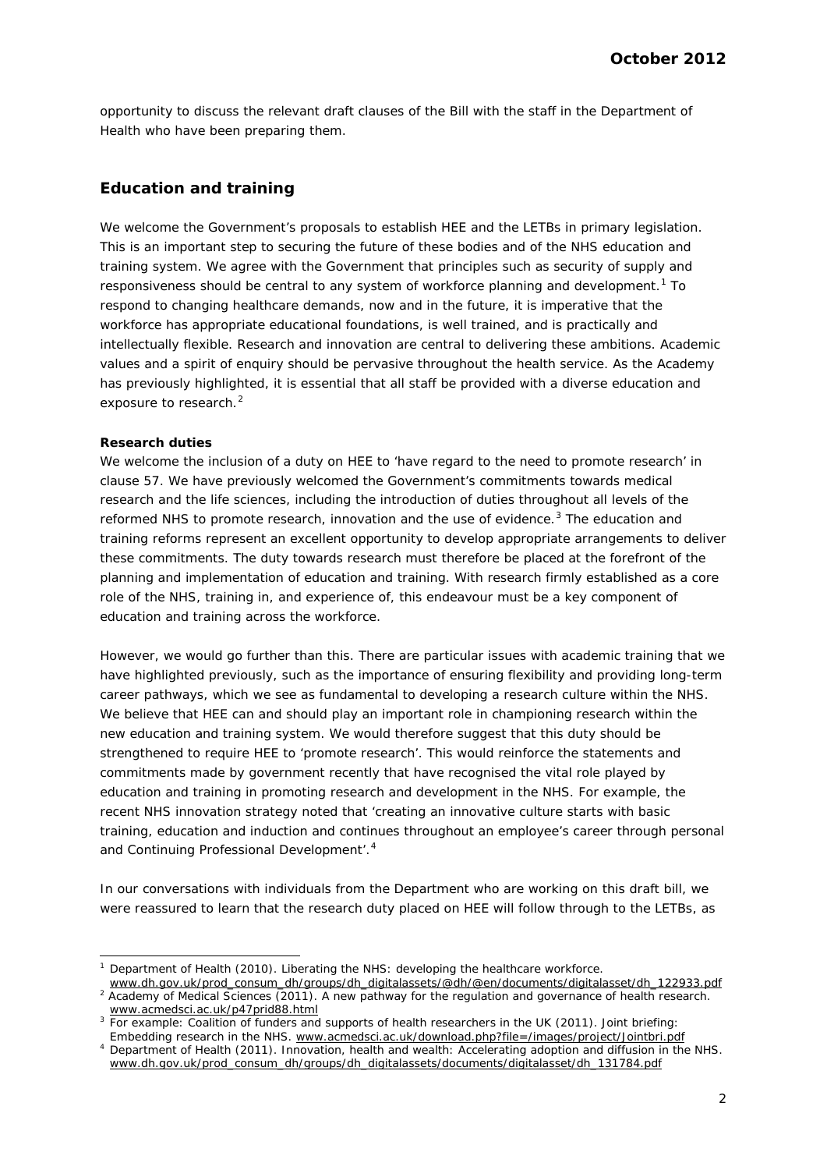opportunity to discuss the relevant draft clauses of the Bill with the staff in the Department of Health who have been preparing them.

# **Education and training**

We welcome the Government's proposals to establish HEE and the LETBs in primary legislation. This is an important step to securing the future of these bodies and of the NHS education and training system. We agree with the Government that principles such as security of supply and responsiveness should be central to any system of workforce planning and development.<sup>[1](#page-1-0)</sup> To respond to changing healthcare demands, now and in the future, it is imperative that the workforce has appropriate educational foundations, is well trained, and is practically and intellectually flexible. Research and innovation are central to delivering these ambitions. Academic values and a spirit of enquiry should be pervasive throughout the health service. As the Academy has previously highlighted, it is essential that all staff be provided with a diverse education and exposure to research.<sup>[2](#page-1-1)</sup>

#### *Research duties*

We welcome the inclusion of a duty on HEE to 'have regard to the need to promote research' in clause 57. We have previously welcomed the Government's commitments towards medical research and the life sciences, including the introduction of duties throughout all levels of the reformed NHS to promote research, innovation and the use of evidence. $3$  The education and training reforms represent an excellent opportunity to develop appropriate arrangements to deliver these commitments. The duty towards research must therefore be placed at the forefront of the planning and implementation of education and training. With research firmly established as a core role of the NHS, training in, and experience of, this endeavour must be a key component of education and training across the workforce.

However, we would go further than this. There are particular issues with academic training that we have highlighted previously, such as the importance of ensuring flexibility and providing long-term career pathways, which we see as fundamental to developing a research culture within the NHS. We believe that HEE can and should play an important role in championing research within the new education and training system. We would therefore suggest that this duty should be strengthened to require HEE to 'promote research'. This would reinforce the statements and commitments made by government recently that have recognised the vital role played by education and training in promoting research and development in the NHS. For example, the recent NHS innovation strategy noted that 'creating an innovative culture starts with basic training, education and induction and continues throughout an employee's career through personal and Continuing Professional Development'.<sup>[4](#page-1-3)</sup>

In our conversations with individuals from the Department who are working on this draft bill, we were reassured to learn that the research duty placed on HEE will follow through to the LETBs, as

 <sup>1</sup> Department of Health (2010). *Liberating the NHS: developing the healthcare workforce.* 

<span id="page-1-0"></span>www.dh.gov.uk/prod\_consum\_dh/groups/dh\_digitalassets/@dh/@en/documents/digitalasset/dh\_122933.pdf <sup>2</sup> Academy of Medical Sciences (2011). *A new pathway for the regulation and governance of health research*.

<span id="page-1-1"></span>www.acmedsci.ac.uk/p47prid88.html <sup>3</sup> For example: Coalition of funders and supports of health researchers in the UK (2011)*. Joint briefing: Embedding research in the NHS*. www.acmedsci.ac.uk/download.php?file=/images/project/Jointbri.pdf

<span id="page-1-3"></span><span id="page-1-2"></span><sup>4</sup> Department of Health (2011). *Innovation, health and wealth: Accelerating adoption and diffusion in the NHS.*  www.dh.gov.uk/prod\_consum\_dh/groups/dh\_digitalassets/documents/digitalasset/dh\_131784.pdf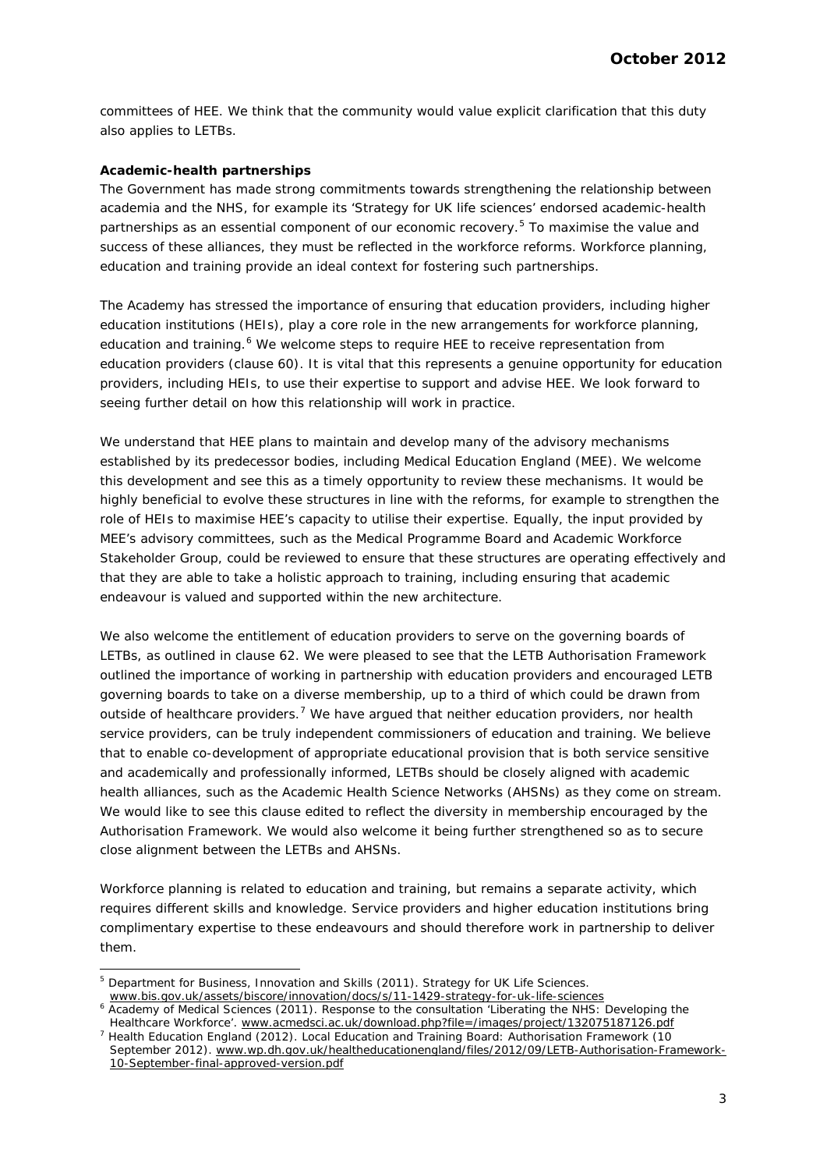committees of HEE. We think that the community would value explicit clarification that this duty also applies to LETBs.

#### *Academic-health partnerships*

The Government has made strong commitments towards strengthening the relationship between academia and the NHS, for example its 'Strategy for UK life sciences' endorsed academic-health partnerships as an essential component of our economic recovery.<sup>[5](#page-2-0)</sup> To maximise the value and success of these alliances, they must be reflected in the workforce reforms. Workforce planning, education and training provide an ideal context for fostering such partnerships.

The Academy has stressed the importance of ensuring that education providers, including higher education institutions (HEIs), play a core role in the new arrangements for workforce planning, education and training.<sup>[6](#page-2-1)</sup> We welcome steps to require HEE to receive representation from education providers (clause 60). It is vital that this represents a genuine opportunity for education providers, including HEIs, to use their expertise to support and advise HEE. We look forward to seeing further detail on how this relationship will work in practice.

We understand that HEE plans to maintain and develop many of the advisory mechanisms established by its predecessor bodies, including Medical Education England (MEE). We welcome this development and see this as a timely opportunity to review these mechanisms. It would be highly beneficial to evolve these structures in line with the reforms, for example to strengthen the role of HEIs to maximise HEE's capacity to utilise their expertise. Equally, the input provided by MEE's advisory committees, such as the Medical Programme Board and Academic Workforce Stakeholder Group, could be reviewed to ensure that these structures are operating effectively and that they are able to take a holistic approach to training, including ensuring that academic endeavour is valued and supported within the new architecture.

We also welcome the entitlement of education providers to serve on the governing boards of LETBs, as outlined in clause 62. We were pleased to see that the LETB Authorisation Framework outlined the importance of working in partnership with education providers and encouraged LETB governing boards to take on a diverse membership, up to a third of which could be drawn from outside of healthcare providers.<sup>[7](#page-2-2)</sup> We have argued that neither education providers, nor health service providers, can be truly independent commissioners of education and training. We believe that to enable co-development of appropriate educational provision that is both service sensitive and academically and professionally informed, LETBs should be closely aligned with academic health alliances, such as the Academic Health Science Networks (AHSNs) as they come on stream. We would like to see this clause edited to reflect the diversity in membership encouraged by the Authorisation Framework. We would also welcome it being further strengthened so as to secure close alignment between the LETBs and AHSNs.

Workforce planning is related to education and training, but remains a separate activity, which requires different skills and knowledge. Service providers and higher education institutions bring complimentary expertise to these endeavours and should therefore work in partnership to deliver them.

<span id="page-2-0"></span><sup>&</sup>lt;sup>5</sup> Department for Business, Innovation and Skills (2011). Strategy for UK Life Sciences. www.bis.gov.uk/assets/biscore/innovation/docs/s/11-1429-strategy-for-uk-life-sciences

<span id="page-2-1"></span><sup>&</sup>lt;sup>6</sup> Academy of Medical Sciences (2011). Response to the consultation 'Liberating the NHS: Developing the

<span id="page-2-2"></span>Healthcare Workforce'. www.acmedsci.ac.uk/download.php?file=/images/project/132075187126.pdf<br>Health Education England (2012). *Local Education and Training Board: Authorisation Framework (10 September 2012).* www.wp.dh.gov.uk/healtheducationengland/files/2012/09/LETB-Authorisation-Framework-10-September-final-approved-version.pdf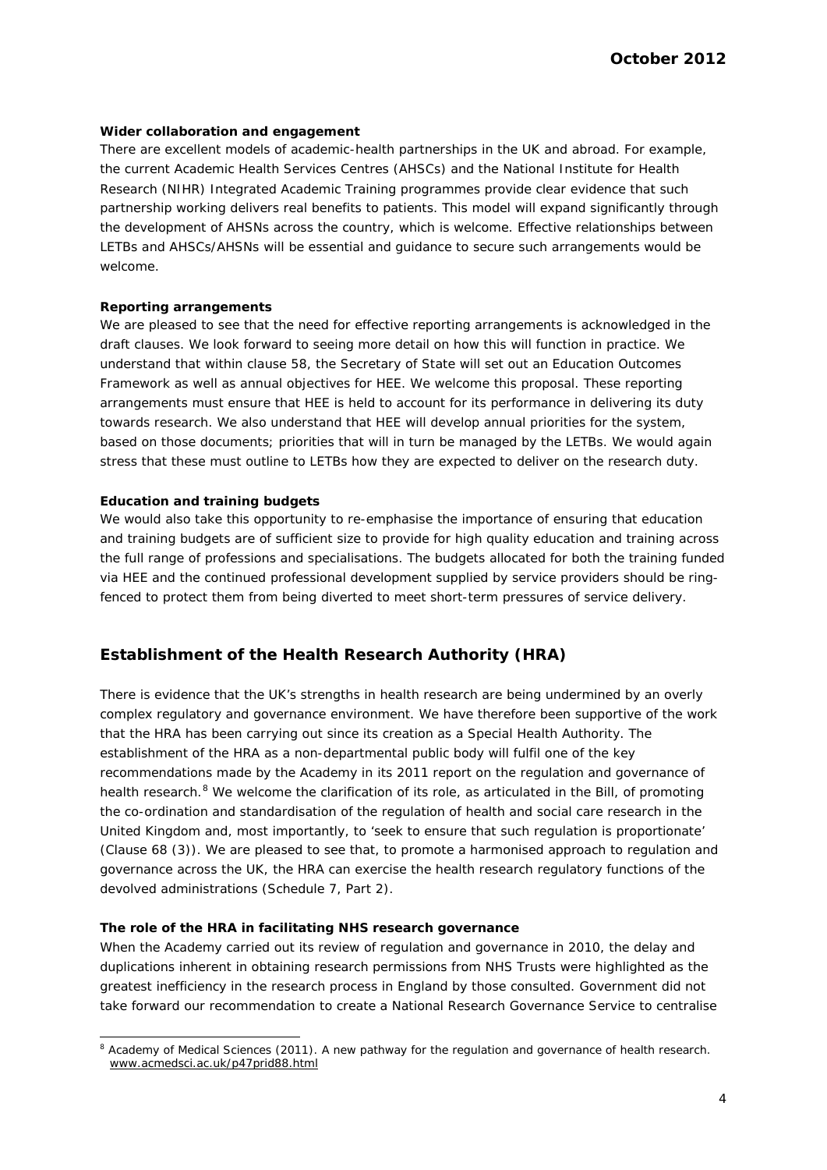### *Wider collaboration and engagement*

There are excellent models of academic-health partnerships in the UK and abroad. For example, the current Academic Health Services Centres (AHSCs) and the National Institute for Health Research (NIHR) Integrated Academic Training programmes provide clear evidence that such partnership working delivers real benefits to patients. This model will expand significantly through the development of AHSNs across the country, which is welcome. Effective relationships between LETBs and AHSCs/AHSNs will be essential and guidance to secure such arrangements would be welcome.

# *Reporting arrangements*

We are pleased to see that the need for effective reporting arrangements is acknowledged in the draft clauses. We look forward to seeing more detail on how this will function in practice. We understand that within clause 58, the Secretary of State will set out an Education Outcomes Framework as well as annual objectives for HEE. We welcome this proposal. These reporting arrangements must ensure that HEE is held to account for its performance in delivering its duty towards research. We also understand that HEE will develop annual priorities for the system, based on those documents; priorities that will in turn be managed by the LETBs. We would again stress that these must outline to LETBs how they are expected to deliver on the research duty.

### *Education and training budgets*

We would also take this opportunity to re-emphasise the importance of ensuring that education and training budgets are of sufficient size to provide for high quality education and training across the full range of professions and specialisations. The budgets allocated for both the training funded via HEE and the continued professional development supplied by service providers should be ringfenced to protect them from being diverted to meet short-term pressures of service delivery.

# **Establishment of the Health Research Authority (HRA)**

There is evidence that the UK's strengths in health research are being undermined by an overly complex regulatory and governance environment. We have therefore been supportive of the work that the HRA has been carrying out since its creation as a Special Health Authority. The establishment of the HRA as a non-departmental public body will fulfil one of the key recommendations made by the Academy in its 2011 report on the regulation and governance of health research.<sup>[8](#page-3-0)</sup> We welcome the clarification of its role, as articulated in the Bill, of promoting the co-ordination and standardisation of the regulation of health and social care research in the United Kingdom and, most importantly, to 'seek to ensure that such regulation is proportionate' (Clause 68 (3)). We are pleased to see that, to promote a harmonised approach to regulation and governance across the UK, the HRA can exercise the health research regulatory functions of the devolved administrations (Schedule 7, Part 2).

#### *The role of the HRA in facilitating NHS research governance*

When the Academy carried out its review of regulation and governance in 2010, the delay and duplications inherent in obtaining research permissions from NHS Trusts were highlighted as the greatest inefficiency in the research process in England by those consulted. Government did not take forward our recommendation to create a National Research Governance Service to centralise

<span id="page-3-0"></span> <sup>8</sup> Academy of Medical Sciences (2011). *A new pathway for the regulation and governance of health research*. www.acmedsci.ac.uk/p47prid88.html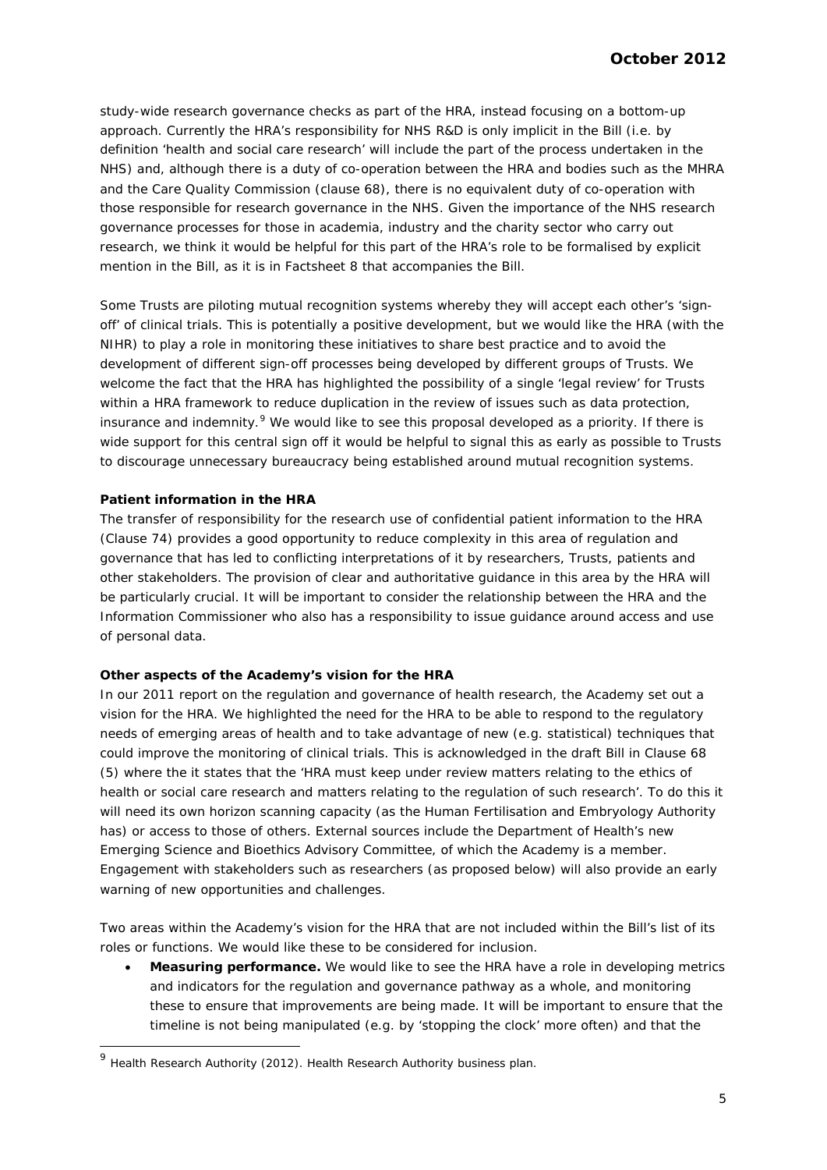study-wide research governance checks as part of the HRA, instead focusing on a bottom-up approach. Currently the HRA's responsibility for NHS R&D is only implicit in the Bill (i.e. by definition 'health and social care research' will include the part of the process undertaken in the NHS) and, although there is a duty of co-operation between the HRA and bodies such as the MHRA and the Care Quality Commission (clause 68), there is no equivalent duty of co-operation with those responsible for research governance in the NHS. Given the importance of the NHS research governance processes for those in academia, industry and the charity sector who carry out research, we think it would be helpful for this part of the HRA's role to be formalised by explicit mention in the Bill, as it is in Factsheet 8 that accompanies the Bill.

Some Trusts are piloting mutual recognition systems whereby they will accept each other's 'signoff' of clinical trials. This is potentially a positive development, but we would like the HRA (with the NIHR) to play a role in monitoring these initiatives to share best practice and to avoid the development of different sign-off processes being developed by different groups of Trusts. We welcome the fact that the HRA has highlighted the possibility of a single 'legal review' for Trusts within a HRA framework to reduce duplication in the review of issues such as data protection, insurance and indemnity.<sup>[9](#page-4-0)</sup> We would like to see this proposal developed as a priority. If there is wide support for this central sign off it would be helpful to signal this as early as possible to Trusts to discourage unnecessary bureaucracy being established around mutual recognition systems.

# *Patient information in the HRA*

The transfer of responsibility for the research use of confidential patient information to the HRA (Clause 74) provides a good opportunity to reduce complexity in this area of regulation and governance that has led to conflicting interpretations of it by researchers, Trusts, patients and other stakeholders. The provision of clear and authoritative guidance in this area by the HRA will be particularly crucial. It will be important to consider the relationship between the HRA and the Information Commissioner who also has a responsibility to issue guidance around access and use of personal data.

#### *Other aspects of the Academy's vision for the HRA*

In our 2011 report on the regulation and governance of health research, the Academy set out a vision for the HRA. We highlighted the need for the HRA to be able to respond to the regulatory needs of emerging areas of health and to take advantage of new (e.g. statistical) techniques that could improve the monitoring of clinical trials. This is acknowledged in the draft Bill in Clause 68 (5) where the it states that the '*HRA must keep under review matters relating to the ethics of health or social care research and matters relating to the regulation of such research*'. To do this it will need its own horizon scanning capacity (as the Human Fertilisation and Embryology Authority has) or access to those of others. External sources include the Department of Health's new Emerging Science and Bioethics Advisory Committee, of which the Academy is a member. Engagement with stakeholders such as researchers (as proposed below) will also provide an early warning of new opportunities and challenges.

Two areas within the Academy's vision for the HRA that are not included within the Bill's list of its roles or functions. We would like these to be considered for inclusion.

• **Measuring performance.** We would like to see the HRA have a role in developing metrics and indicators for the regulation and governance pathway as a whole, and monitoring these to ensure that improvements are being made. It will be important to ensure that the timeline is not being manipulated (e.g. by 'stopping the clock' more often) and that the

<span id="page-4-0"></span> <sup>9</sup> Health Research Authority (2012). *Health Research Authority business plan*.